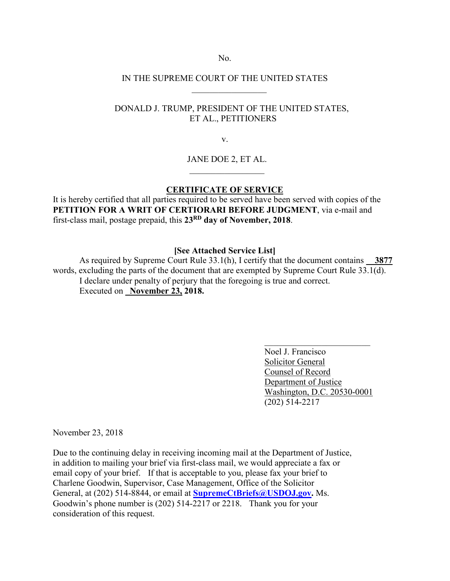No.

## IN THE SUPREME COURT OF THE UNITED STATES  $\mathcal{L}=\frac{1}{2}$  , where  $\mathcal{L}=\frac{1}{2}$

## DONALD J. TRUMP, PRESIDENT OF THE UNITED STATES, ET AL., PETITIONERS

v.

JANE DOE 2, ET AL.

## **CERTIFICATE OF SERVICE**

It is hereby certified that all parties required to be served have been served with copies of the **PETITION FOR A WRIT OF CERTIORARI BEFORE JUDGMENT**, via e-mail and first-class mail, postage prepaid, this **23RD day of November, 2018**.

 $\mathcal{L}_\text{max}$  and  $\mathcal{L}_\text{max}$  are the set of the set of the set of the set of the set of the set of the set of the set of the set of the set of the set of the set of the set of the set of the set of the set of the set o

**[See Attached Service List]**

As required by Supreme Court Rule 33.1(h), I certify that the document contains \_\_**3877** words, excluding the parts of the document that are exempted by Supreme Court Rule 33.1(d). I declare under penalty of perjury that the foregoing is true and correct. Executed on **November 23, 2018.** 

> Noel J. Francisco Solicitor General Counsel of Record Department of Justice Washington, D.C. 20530-0001 (202) 514-2217

 $\mathcal{L}_\text{max}$  , where  $\mathcal{L}_\text{max}$  , we have the set of  $\mathcal{L}_\text{max}$ 

November 23, 2018

Due to the continuing delay in receiving incoming mail at the Department of Justice, in addition to mailing your brief via first-class mail, we would appreciate a fax or email copy of your brief. If that is acceptable to you, please fax your brief to Charlene Goodwin, Supervisor, Case Management, Office of the Solicitor General, at (202) 514-8844, or email at **SupremeCtBriefs@USDOJ.gov.** Ms. Goodwin's phone number is (202) 514-2217 or 2218. Thank you for your consideration of this request.